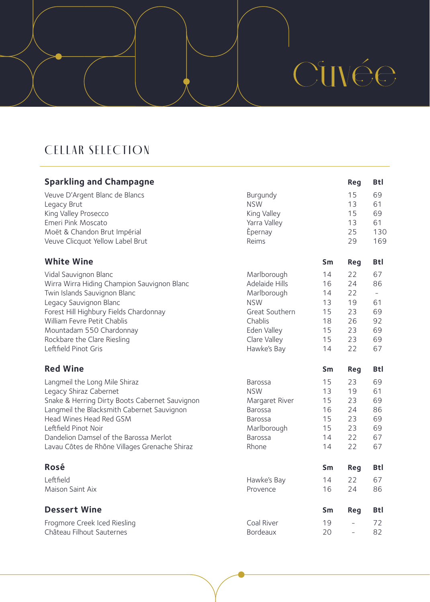# CUVÉE

# CELLAR SELECTION

| <b>Sparkling and Champagne</b>                                                          |                             |          | <b>Reg</b>               | <b>Btl</b> |
|-----------------------------------------------------------------------------------------|-----------------------------|----------|--------------------------|------------|
| Veuve D'Argent Blanc de Blancs<br>Legacy Brut                                           | Burgundy<br><b>NSW</b>      |          | 15<br>13                 | 69<br>61   |
| King Valley Prosecco                                                                    | King Valley                 |          | 15                       | 69         |
| Emeri Pink Moscato                                                                      | Yarra Valley                |          | 13                       | 61         |
| Moët & Chandon Brut Impérial<br>Veuve Clicquot Yellow Label Brut                        | Epernay<br>Reims            |          | 25<br>29                 | 130<br>169 |
| <b>White Wine</b>                                                                       |                             | Sm       | Reg                      | <b>Btl</b> |
| Vidal Sauvignon Blanc                                                                   | Marlborough                 | 14       | 22                       | 67         |
| Wirra Wirra Hiding Champion Sauvignon Blanc                                             | Adelaide Hills              | 16       | 24                       | 86         |
| Twin Islands Sauvignon Blanc                                                            | Marlborough                 | 14       | 22                       | $\equiv$   |
| Legacy Sauvignon Blanc                                                                  | <b>NSW</b>                  | 13       | 19                       | 61         |
| Forest Hill Highbury Fields Chardonnay                                                  | Great Southern              | 15       | 23                       | 69         |
| William Fevre Petit Chablis                                                             | Chablis                     | 18       | 26                       | 92         |
| Mountadam 550 Chardonnay                                                                | Eden Valley                 | 15       | 23<br>23                 | 69         |
| Rockbare the Clare Riesling<br>Leftfield Pinot Gris                                     | Clare Valley<br>Hawke's Bay | 15<br>14 | 22                       | 69<br>67   |
|                                                                                         |                             |          |                          |            |
| <b>Red Wine</b>                                                                         |                             | Sm       | <b>Reg</b>               | <b>Btl</b> |
| Langmeil the Long Mile Shiraz                                                           | Barossa                     | 15       | 23                       | 69         |
| Legacy Shiraz Cabernet                                                                  | <b>NSW</b>                  | 13       | 19                       | 61         |
| Snake & Herring Dirty Boots Cabernet Sauvignon                                          | Margaret River              | 15       | 23                       | 69         |
| Langmeil the Blacksmith Cabernet Sauvignon                                              | Barossa                     | 16       | 24                       | 86         |
| Head Wines Head Red GSM                                                                 | <b>Barossa</b>              | 15       | 23                       | 69         |
| Leftfield Pinot Noir                                                                    | Marlborough                 | 15<br>14 | 23<br>22                 | 69         |
| Dandelion Damsel of the Barossa Merlot<br>Lavau Côtes de Rhône Villages Grenache Shiraz | Barossa<br>Rhone            | 14       | 22                       | 67<br>67   |
|                                                                                         |                             |          |                          |            |
| <b>Rosé</b>                                                                             |                             | Sm       | <b>Reg</b>               | <b>Btl</b> |
| Leftfield                                                                               | Hawke's Bay                 | 14       | 22                       | 67         |
| Maison Saint Aix                                                                        | Provence                    | 16       | 24                       | 86         |
| <b>Dessert Wine</b>                                                                     |                             | Sm       | Reg                      | Btl        |
| Frogmore Creek Iced Riesling                                                            | Coal River                  | 19       | $\overline{a}$           | 72         |
| Château Filhout Sauternes                                                               | Bordeaux                    | 20       | $\overline{\phantom{a}}$ | 82         |